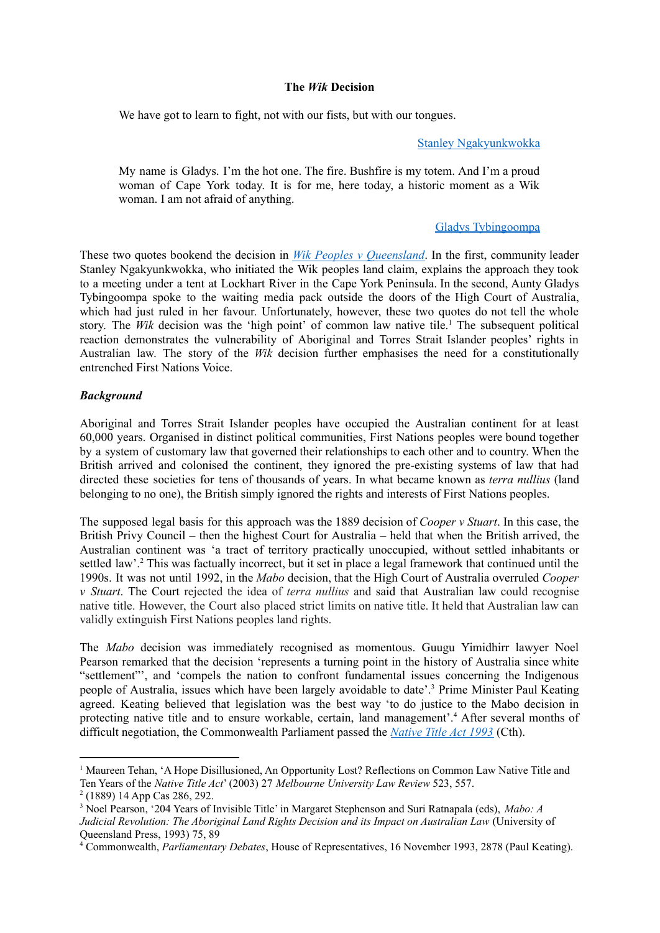### **The** *Wik* **Decision**

We have got to learn to fight, not with our fists, but with our tongues.

#### Stanley [Ngakyunkwokka](https://www.theguardian.com/australia-news/2018/jul/03/wik-vs-queensland-documentary-how-the-wik-people-fought-the-law-and-won)

My name is Gladys. I'm the hot one. The fire. Bushfire is my totem. And I'm a proud woman of Cape York today. It is for me, here today, a historic moment as a Wik woman. I am not afraid of anything.

## Gladys [Tybingoompa](https://www.sbs.com.au/nitv/article/2018/06/12/warrior-spirits-wik-women-who-stood-their-land-and-communities)

These two quotes bookend the decision in *Wik Peoples v [Queensland](http://www8.austlii.edu.au/cgi-bin/viewdoc/au/cases/cth/HCA/1996/40.html)*. In the first, community leader Stanley Ngakyunkwokka, who initiated the Wik peoples land claim, explains the approach they took to a meeting under a tent at Lockhart River in the Cape York Peninsula. In the second, Aunty Gladys Tybingoompa spoke to the waiting media pack outside the doors of the High Court of Australia, which had just ruled in her favour. Unfortunately, however, these two quotes do not tell the whole story. The Wik decision was the 'high point' of common law native tile.<sup>1</sup> The subsequent political reaction demonstrates the vulnerability of Aboriginal and Torres Strait Islander peoples' rights in Australian law. The story of the *Wik* decision further emphasises the need for a constitutionally entrenched First Nations Voice.

### *Background*

Aboriginal and Torres Strait Islander peoples have occupied the Australian continent for at least 60,000 years. Organised in distinct political communities, First Nations peoples were bound together by a system of customary law that governed their relationships to each other and to country. When the British arrived and colonised the continent, they ignored the pre-existing systems of law that had directed these societies for tens of thousands of years. In what became known as *terra nullius* (land belonging to no one), the British simply ignored the rights and interests of First Nations peoples.

The supposed legal basis for this approach was the 1889 decision of *Cooper v Stuart*. In this case, the British Privy Council – then the highest Court for Australia – held that when the British arrived, the Australian continent was 'a tract of territory practically unoccupied, without settled inhabitants or settled law'.<sup>2</sup> This was factually incorrect, but it set in place a legal framework that continued until the 1990s. It was not until 1992, in the *Mabo* decision, that the High Court of Australia overruled *Cooper v Stuart*. The Court rejected the idea of *terra nullius* and said that Australian law could recognise native title. However, the Court also placed strict limits on native title. It held that Australian law can validly extinguish First Nations peoples land rights.

The *Mabo* decision was immediately recognised as momentous. Guugu Yimidhirr lawyer Noel Pearson remarked that the decision 'represents a turning point in the history of Australia since white "settlement"', and 'compels the nation to confront fundamental issues concerning the Indigenous people of Australia, issues which have been largely avoidable to date'. <sup>3</sup> Prime Minister Paul Keating agreed. Keating believed that legislation was the best way 'to do justice to the Mabo decision in protecting native title and to ensure workable, certain, land management'.<sup>4</sup> After several months of difficult negotiation, the Commonwealth Parliament passed the *[Native](https://www.legislation.gov.au/Details/C2017C00178) Title Act 1993* (Cth).

<sup>&</sup>lt;sup>1</sup> Maureen Tehan, 'A Hope Disillusioned, An Opportunity Lost? Reflections on Common Law Native Title and Ten Years of the *Native Title Act*' (2003) 27 *Melbourne University Law Review* 523, 557.

<sup>2</sup> (1889) 14 App Cas 286, 292.

<sup>3</sup> Noel Pearson, '204 Years of Invisible Title' in Margaret Stephenson and Suri Ratnapala (eds), *Mabo: A Judicial Revolution: The Aboriginal Land Rights Decision and its Impact on Australian Law* (University of Queensland Press, 1993) 75, 89

<sup>4</sup> Commonwealth, *Parliamentary Debates*, House of Representatives, 16 November 1993, 2878 (Paul Keating).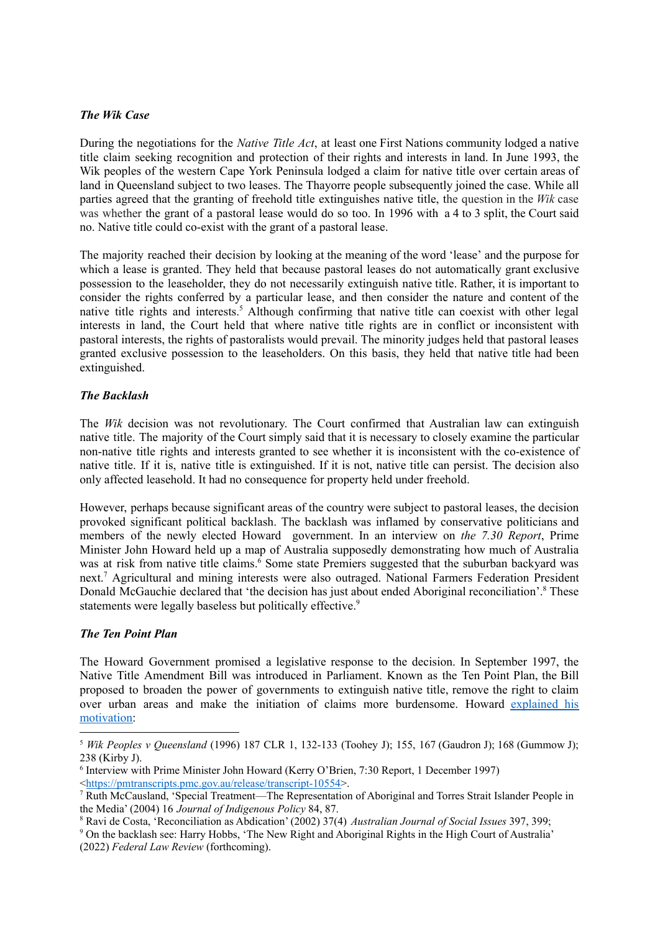## *The Wik Case*

During the negotiations for the *Native Title Act*, at least one First Nations community lodged a native title claim seeking recognition and protection of their rights and interests in land. In June 1993, the Wik peoples of the western Cape York Peninsula lodged a claim for native title over certain areas of land in Queensland subject to two leases. The Thayorre people subsequently joined the case. While all parties agreed that the granting of freehold title extinguishes native title, the question in the *Wik* case was whether the grant of a pastoral lease would do so too. In 1996 with a 4 to 3 split, the Court said no. Native title could co-exist with the grant of a pastoral lease.

The majority reached their decision by looking at the meaning of the word 'lease' and the purpose for which a lease is granted. They held that because pastoral leases do not automatically grant exclusive possession to the leaseholder, they do not necessarily extinguish native title. Rather, it is important to consider the rights conferred by a particular lease, and then consider the nature and content of the native title rights and interests. <sup>5</sup> Although confirming that native title can coexist with other legal interests in land, the Court held that where native title rights are in conflict or inconsistent with pastoral interests, the rights of pastoralists would prevail. The minority judges held that pastoral leases granted exclusive possession to the leaseholders. On this basis, they held that native title had been extinguished.

# *The Backlash*

The *Wik* decision was not revolutionary. The Court confirmed that Australian law can extinguish native title. The majority of the Court simply said that it is necessary to closely examine the particular non-native title rights and interests granted to see whether it is inconsistent with the co-existence of native title. If it is, native title is extinguished. If it is not, native title can persist. The decision also only affected leasehold. It had no consequence for property held under freehold.

However, perhaps because significant areas of the country were subject to pastoral leases, the decision provoked significant political backlash. The backlash was inflamed by conservative politicians and members of the newly elected Howard government. In an interview on *the 7.30 Report*, Prime Minister John Howard held up a map of Australia supposedly demonstrating how much of Australia was at risk from native title claims. <sup>6</sup> Some state Premiers suggested that the suburban backyard was next. <sup>7</sup> Agricultural and mining interests were also outraged. National Farmers Federation President Donald McGauchie declared that 'the decision has just about ended Aboriginal reconciliation'. <sup>8</sup> These statements were legally baseless but politically effective.<sup>9</sup>

## *The Ten Point Plan*

The Howard Government promised a legislative response to the decision. In September 1997, the Native Title Amendment Bill was introduced in Parliament. Known as the Ten Point Plan, the Bill proposed to broaden the power of governments to extinguish native title, remove the right to claim over urban areas and make the initiation of claims more burdensome. Howard [explained](https://australianpolitics.com/1997/05/08/howard-amended-wik-10-point-plan.html) his [motivation:](https://australianpolitics.com/1997/05/08/howard-amended-wik-10-point-plan.html)

<sup>5</sup> *Wik Peoples v Queensland* (1996) 187 CLR 1, 132-133 (Toohey J); 155, 167 (Gaudron J); 168 (Gummow J); 238 (Kirby J).

<sup>6</sup> Interview with Prime Minister John Howard (Kerry O'Brien, 7:30 Report, 1 December 1997) <[https://pmtranscripts.pmc.gov.au/release/transcript-10554>](https://pmtranscripts.pmc.gov.au/release/transcript-10554).

<sup>7</sup> Ruth McCausland, 'Special Treatment—The Representation of Aboriginal and Torres Strait Islander People in the Media' (2004) 16 *Journal of Indigenous Policy* 84, 87.

<sup>8</sup> Ravi de Costa, 'Reconciliation as Abdication' (2002) 37(4) *Australian Journal of Social Issues* 397, 399;

<sup>9</sup> On the backlash see: Harry Hobbs, 'The New Right and Aboriginal Rights in the High Court of Australia' (2022) *Federal Law Review* (forthcoming).